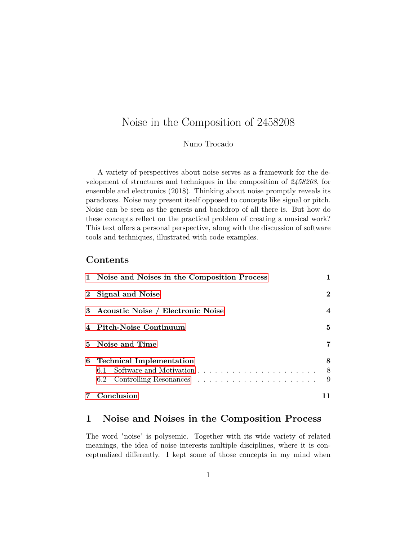# Noise in the Composition of 2458208

### Nuno Trocado

A variety of perspectives about noise serves as a framework for the development of structures and techniques in the composition of *2458208*, for ensemble and electronics (2018). Thinking about noise promptly reveals its paradoxes. Noise may present itself opposed to concepts like signal or pitch. Noise can be seen as the genesis and backdrop of all there is. But how do these concepts reflect on the practical problem of creating a musical work? This text offers a personal perspective, along with the discussion of software tools and techniques, illustrated with code examples.

## **Contents**

|          | Conclusion                                    |          |  |
|----------|-----------------------------------------------|----------|--|
|          |                                               | 9        |  |
|          |                                               | 8        |  |
| 6        | <b>Technical Implementation</b>               | 8        |  |
|          | 5 Noise and Time                              |          |  |
|          | 4 Pitch-Noise Continuum                       |          |  |
|          | 3 Acoustic Noise / Electronic Noise           |          |  |
| $\bf{2}$ | Signal and Noise                              | $\bf{2}$ |  |
|          | 1 Noise and Noises in the Composition Process |          |  |

## <span id="page-0-0"></span>**1 Noise and Noises in the Composition Process**

The word "noise" is polysemic. Together with its wide variety of related meanings, the idea of noise interests multiple disciplines, where it is conceptualized differently. I kept some of those concepts in my mind when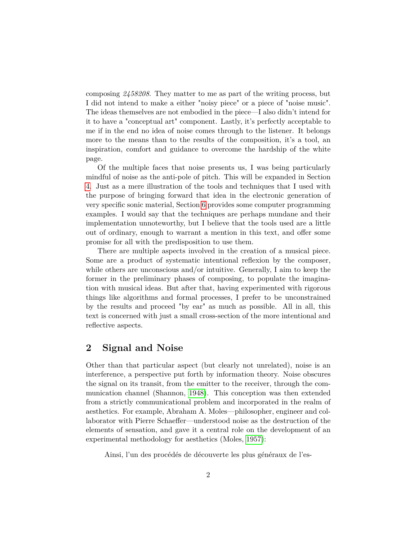composing *2458208*. They matter to me as part of the writing process, but I did not intend to make a either "noisy piece" or a piece of "noise music". The ideas themselves are not embodied in the piece—I also didn't intend for it to have a "conceptual art" component. Lastly, it's perfectly acceptable to me if in the end no idea of noise comes through to the listener. It belongs more to the means than to the results of the composition, it's a tool, an inspiration, comfort and guidance to overcome the hardship of the white page.

Of the multiple faces that noise presents us, I was being particularly mindful of noise as the anti-pole of pitch. This will be expanded in Section [4.](#page-4-0) Just as a mere illustration of the tools and techniques that I used with the purpose of bringing forward that idea in the electronic generation of very specific sonic material, Section [6](#page-7-0) provides some computer programming examples. I would say that the techniques are perhaps mundane and their implementation unnoteworthy, but I believe that the tools used are a little out of ordinary, enough to warrant a mention in this text, and offer some promise for all with the predisposition to use them.

There are multiple aspects involved in the creation of a musical piece. Some are a product of systematic intentional reflexion by the composer, while others are unconscious and/or intuitive. Generally, I aim to keep the former in the preliminary phases of composing, to populate the imagination with musical ideas. But after that, having experimented with rigorous things like algorithms and formal processes, I prefer to be unconstrained by the results and proceed "by ear" as much as possible. All in all, this text is concerned with just a small cross-section of the more intentional and reflective aspects.

## <span id="page-1-0"></span>**2 Signal and Noise**

Other than that particular aspect (but clearly not unrelated), noise is an interference, a perspective put forth by information theory. Noise obscures the signal on its transit, from the emitter to the receiver, through the communication channel (Shannon, [1948\)](#page-11-0). This conception was then extended from a strictly communicational problem and incorporated in the realm of aesthetics. For example, Abraham A. Moles—philosopher, engineer and collaborator with Pierre Schaeffer—understood noise as the destruction of the elements of sensation, and gave it a central role on the development of an experimental methodology for aesthetics (Moles, [1957\)](#page-11-1):

Ainsi, l'un des procédés de découverte les plus généraux de l'es-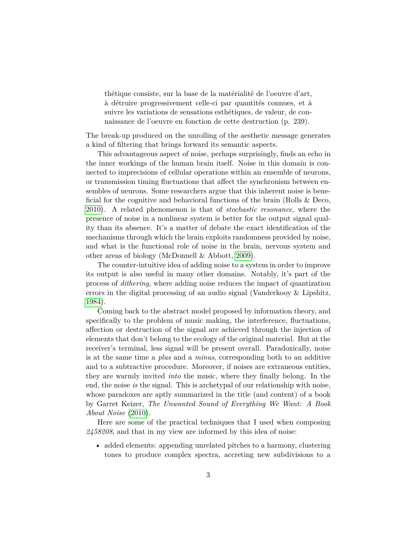thétique consiste, sur la base de la matérialité de l'oeuvre d'art, à détruire progressivement celle-ci par quantités connues, et à suivre les variations de sensations esthétiques, de valeur, de connaissance de l'oeuvre en fonction de cette destruction (p. 239).

The break-up produced on the unrolling of the aesthetic message generates a kind of filtering that brings forward its semantic aspects.

This advantageous aspect of noise, perhaps surprisingly, finds an echo in the inner workings of the human brain itself. Noise in this domain is connected to imprecisions of cellular operations within an ensemble of neurons, or transmission timing fluctuations that affect the synchronism between ensembles of neurons. Some researchers argue that this inherent noise is beneficial for the cognitive and behavioral functions of the brain (Rolls & Deco, [2010\)](#page-11-2). A related phenomenon is that of *stochastic resonance*, where the presence of noise in a nonlinear system is better for the output signal quality than its absence. It's a matter of debate the exact identification of the mechanisms through which the brain exploits randomness provided by noise, and what is the functional role of noise in the brain, nervous system and other areas of biology (McDonnell & Abbott, [2009\)](#page-11-3).

The counter-intuitive idea of adding noise to a system in order to improve its output is also useful in many other domains. Notably, it's part of the process of *dithering*, where adding noise reduces the impact of quantization errors in the digital processing of an audio signal (Vanderkooy & Lipshitz, [1984\)](#page-11-4).

Coming back to the abstract model proposed by information theory, and specifically to the problem of music making, the interference, fluctuations, affection or destruction of the signal are achieved through the injection of elements that don't belong to the ecology of the original material. But at the receiver's terminal, less signal will be present overall. Paradoxically, noise is at the same time a *plus* and a *minus*, corresponding both to an additive and to a subtractive procedure. Moreover, if noises are extraneous entities, they are warmly invited *into* the music, where they finally belong. In the end, the noise *is* the signal. This is archetypal of our relationship with noise, whose paradoxes are aptly summarized in the title (and content) of a book by Garret Keizer, *The Unwanted Sound of Everything We Want: A Book About Noise* [\(2010\)](#page-11-5).

Here are some of the practical techniques that I used when composing *2458208*, and that in my view are informed by this idea of noise:

• added elements: appending unrelated pitches to a harmony, clustering tones to produce complex spectra, accreting new subdivisions to a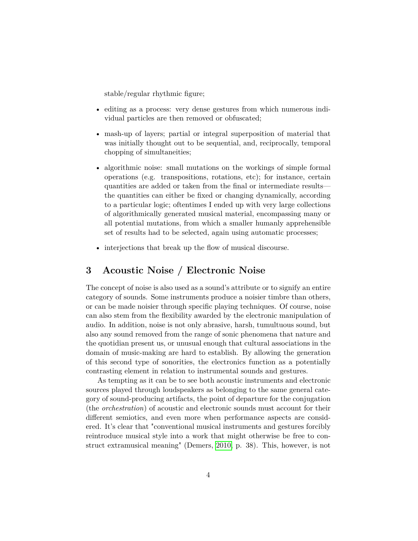stable/regular rhythmic figure;

- editing as a process: very dense gestures from which numerous individual particles are then removed or obfuscated;
- mash-up of layers; partial or integral superposition of material that was initially thought out to be sequential, and, reciprocally, temporal chopping of simultaneities;
- algorithmic noise: small mutations on the workings of simple formal operations (e.g. transpositions, rotations, etc); for instance, certain quantities are added or taken from the final or intermediate results the quantities can either be fixed or changing dynamically, according to a particular logic; oftentimes I ended up with very large collections of algorithmically generated musical material, encompassing many or all potential mutations, from which a smaller humanly apprehensible set of results had to be selected, again using automatic processes;
- interjections that break up the flow of musical discourse.

## <span id="page-3-0"></span>**3 Acoustic Noise / Electronic Noise**

The concept of noise is also used as a sound's attribute or to signify an entire category of sounds. Some instruments produce a noisier timbre than others, or can be made noisier through specific playing techniques. Of course, noise can also stem from the flexibility awarded by the electronic manipulation of audio. In addition, noise is not only abrasive, harsh, tumultuous sound, but also any sound removed from the range of sonic phenomena that nature and the quotidian present us, or unusual enough that cultural associations in the domain of music-making are hard to establish. By allowing the generation of this second type of sonorities, the electronics function as a potentially contrasting element in relation to instrumental sounds and gestures.

As tempting as it can be to see both acoustic instruments and electronic sources played through loudspeakers as belonging to the same general category of sound-producing artifacts, the point of departure for the conjugation (the *orchestration*) of acoustic and electronic sounds must account for their different semiotics, and even more when performance aspects are considered. It's clear that "conventional musical instruments and gestures forcibly reintroduce musical style into a work that might otherwise be free to construct extramusical meaning" (Demers, [2010,](#page-11-6) p. 38). This, however, is not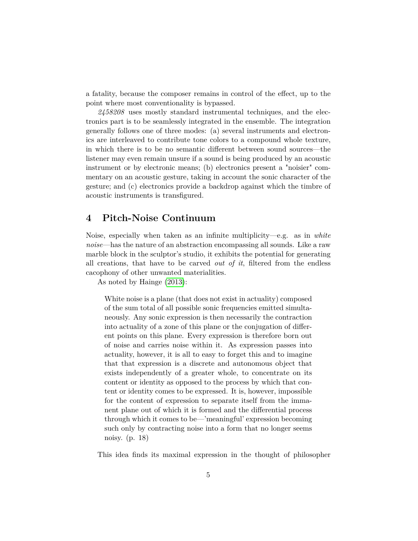a fatality, because the composer remains in control of the effect, up to the point where most conventionality is bypassed.

*2458208* uses mostly standard instrumental techniques, and the electronics part is to be seamlessly integrated in the ensemble. The integration generally follows one of three modes: (a) several instruments and electronics are interleaved to contribute tone colors to a compound whole texture, in which there is to be no semantic different between sound sources—the listener may even remain unsure if a sound is being produced by an acoustic instrument or by electronic means; (b) electronics present a "noisier" commentary on an acoustic gesture, taking in account the sonic character of the gesture; and (c) electronics provide a backdrop against which the timbre of acoustic instruments is transfigured.

## <span id="page-4-0"></span>**4 Pitch-Noise Continuum**

Noise, especially when taken as an infinite multiplicity—e.g. as in *white noise*—has the nature of an abstraction encompassing all sounds. Like a raw marble block in the sculptor's studio, it exhibits the potential for generating all creations, that have to be carved *out of it*, filtered from the endless cacophony of other unwanted materialities.

As noted by Hainge [\(2013\)](#page-11-7):

White noise is a plane (that does not exist in actuality) composed of the sum total of all possible sonic frequencies emitted simultaneously. Any sonic expression is then necessarily the contraction into actuality of a zone of this plane or the conjugation of different points on this plane. Every expression is therefore born out of noise and carries noise within it. As expression passes into actuality, however, it is all to easy to forget this and to imagine that that expression is a discrete and autonomous object that exists independently of a greater whole, to concentrate on its content or identity as opposed to the process by which that content or identity comes to be expressed. It is, however, impossible for the content of expression to separate itself from the immanent plane out of which it is formed and the differential process through which it comes to be—'meaningful' expression becoming such only by contracting noise into a form that no longer seems noisy. (p. 18)

This idea finds its maximal expression in the thought of philosopher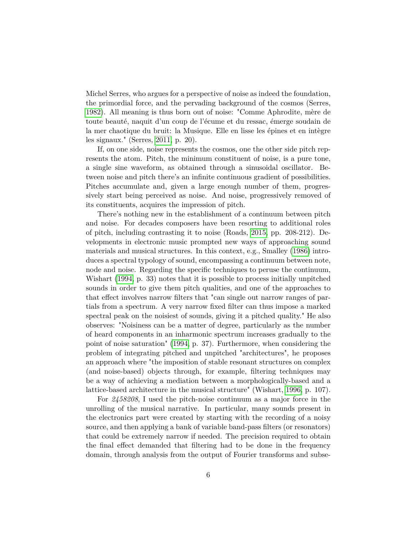Michel Serres, who argues for a perspective of noise as indeed the foundation, the primordial force, and the pervading background of the cosmos (Serres, [1982\)](#page-11-8). All meaning is thus born out of noise: "Comme Aphrodite, mère de toute beauté, naquit d'un coup de l'écume et du ressac, émerge soudain de la mer chaotique du bruit: la Musique. Elle en lisse les épines et en intègre les signaux." (Serres, [2011,](#page-11-9) p. 20).

If, on one side, noise represents the cosmos, one the other side pitch represents the atom. Pitch, the minimum constituent of noise, is a pure tone, a single sine waveform, as obtained through a sinusoidal oscillator. Between noise and pitch there's an infinite continuous gradient of possibilities. Pitches accumulate and, given a large enough number of them, progressively start being perceived as noise. And noise, progressively removed of its constituents, acquires the impression of pitch.

There's nothing new in the establishment of a continuum between pitch and noise. For decades composers have been resorting to additional roles of pitch, including contrasting it to noise (Roads, [2015,](#page-11-10) pp. 208-212). Developments in electronic music prompted new ways of approaching sound materials and musical structures. In this context, e.g., Smalley [\(1986\)](#page-11-11) introduces a spectral typology of sound, encompassing a continuum between note, node and noise. Regarding the specific techniques to peruse the continuum, Wishart [\(1994,](#page-11-12) p. 33) notes that it is possible to process initially unpitched sounds in order to give them pitch qualities, and one of the approaches to that effect involves narrow filters that "can single out narrow ranges of partials from a spectrum. A very narrow fixed filter can thus impose a marked spectral peak on the noisiest of sounds, giving it a pitched quality." He also observes: "Noisiness can be a matter of degree, particularly as the number of heard components in an inharmonic spectrum increases gradually to the point of noise saturation" [\(1994,](#page-11-12) p. 37). Furthermore, when considering the problem of integrating pitched and unpitched "architectures", he proposes an approach where "the imposition of stable resonant structures on complex (and noise-based) objects through, for example, filtering techniques may be a way of achieving a mediation between a morphologically-based and a lattice-based architecture in the musical structure" (Wishart, [1996,](#page-11-13) p. 107).

For *2458208*, I used the pitch-noise continuum as a major force in the unrolling of the musical narrative. In particular, many sounds present in the electronics part were created by starting with the recording of a noisy source, and then applying a bank of variable band-pass filters (or resonators) that could be extremely narrow if needed. The precision required to obtain the final effect demanded that filtering had to be done in the frequency domain, through analysis from the output of Fourier transforms and subse-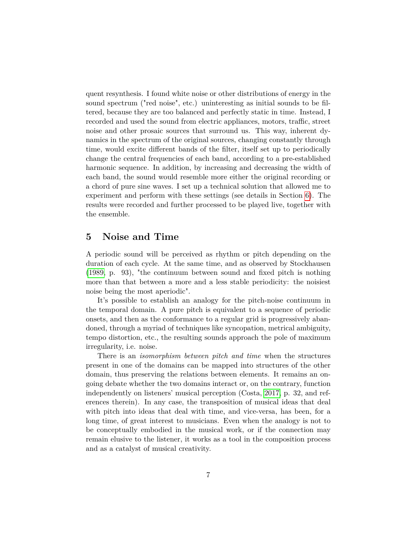quent resynthesis. I found white noise or other distributions of energy in the sound spectrum ("red noise", etc.) uninteresting as initial sounds to be filtered, because they are too balanced and perfectly static in time. Instead, I recorded and used the sound from electric appliances, motors, traffic, street noise and other prosaic sources that surround us. This way, inherent dynamics in the spectrum of the original sources, changing constantly through time, would excite different bands of the filter, itself set up to periodically change the central frequencies of each band, according to a pre-established harmonic sequence. In addition, by increasing and decreasing the width of each band, the sound would resemble more either the original recording or a chord of pure sine waves. I set up a technical solution that allowed me to experiment and perform with these settings (see details in Section [6\)](#page-7-0). The results were recorded and further processed to be played live, together with the ensemble.

## <span id="page-6-0"></span>**5 Noise and Time**

A periodic sound will be perceived as rhythm or pitch depending on the duration of each cycle. At the same time, and as observed by Stockhausen [\(1989,](#page-11-14) p. 93), "the continuum between sound and fixed pitch is nothing more than that between a more and a less stable periodicity: the noisiest noise being the most aperiodic".

It's possible to establish an analogy for the pitch-noise continuum in the temporal domain. A pure pitch is equivalent to a sequence of periodic onsets, and then as the conformance to a regular grid is progressively abandoned, through a myriad of techniques like syncopation, metrical ambiguity, tempo distortion, etc., the resulting sounds approach the pole of maximum irregularity, i.e. noise.

There is an *isomorphism between pitch and time* when the structures present in one of the domains can be mapped into structures of the other domain, thus preserving the relations between elements. It remains an ongoing debate whether the two domains interact or, on the contrary, function independently on listeners' musical perception (Costa, [2017,](#page-11-15) p. 32, and references therein). In any case, the transposition of musical ideas that deal with pitch into ideas that deal with time, and vice-versa, has been, for a long time, of great interest to musicians. Even when the analogy is not to be conceptually embodied in the musical work, or if the connection may remain elusive to the listener, it works as a tool in the composition process and as a catalyst of musical creativity.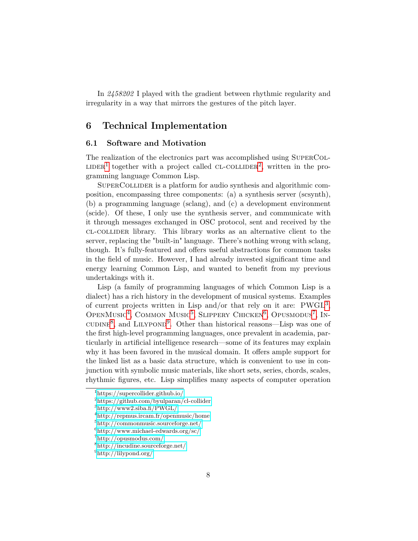In *2458202* I played with the gradient between rhythmic regularity and irregularity in a way that mirrors the gestures of the pitch layer.

## <span id="page-7-0"></span>**6 Technical Implementation**

#### <span id="page-7-1"></span>**6.1 Software and Motivation**

The realization of the electronics part was accomplished using SUPERCOL-LIDER<sup>[1](#page-7-2)</sup> together with a project called CL-COLLIDER<sup>[2](#page-7-3)</sup>, written in the programming language Common Lisp.

SuperCollider is a platform for audio synthesis and algorithmic composition, encompassing three components: (a) a synthesis server (scsynth), (b) a programming language (sclang), and (c) a development environment (scide). Of these, I only use the synthesis server, and communicate with it through messages exchanged in OSC protocol, sent and received by the cl-collider library. This library works as an alternative client to the server, replacing the "built-in" language. There's nothing wrong with sclang, though. It's fully-featured and offers useful abstractions for common tasks in the field of music. However, I had already invested significant time and energy learning Common Lisp, and wanted to benefit from my previous undertakings with it.

Lisp (a family of programming languages of which Common Lisp is a dialect) has a rich history in the development of musical systems. Examples of current projects written in Lisp and/or that rely on it are: PWGL<sup>[3](#page-7-4)</sup>, OPENMUSIC<sup>[4](#page-7-5)</sup>, COMMON MUSIC<sup>[5](#page-7-6)</sup>, SLIPPERY CHICKEN<sup>[6](#page-7-7)</sup>, OPUSMODUS<sup>[7](#page-7-8)</sup>, IN-cuding<sup>[8](#page-7-9)</sup>, and LILYPOND<sup>[9](#page-7-10)</sup>. Other than historical reasons—Lisp was one of the first high-level programming languages, once prevalent in academia, particularly in artificial intelligence research—some of its features may explain why it has been favored in the musical domain. It offers ample support for the linked list as a basic data structure, which is convenient to use in conjunction with symbolic music materials, like short sets, series, chords, scales, rhythmic figures, etc. Lisp simplifies many aspects of computer operation

<span id="page-7-2"></span><sup>1</sup><https://supercollider.github.io/>

<span id="page-7-3"></span> $^{2}$ <https://github.com/byulparan/cl-collider>

<span id="page-7-4"></span> $3$ <http://www2.siba.fi/PWGL/>

<span id="page-7-5"></span><sup>4</sup><http://repmus.ircam.fr/openmusic/home>

<span id="page-7-6"></span><sup>5</sup><http://commonmusic.sourceforge.net/>

<span id="page-7-7"></span> $6$ <http://www.michael-edwards.org/sc/>

<span id="page-7-8"></span><sup>7</sup><http://opusmodus.com/>

<span id="page-7-9"></span><sup>8</sup><http://incudine.sourceforge.net/>

<span id="page-7-10"></span><sup>9</sup><http://lilypond.org/>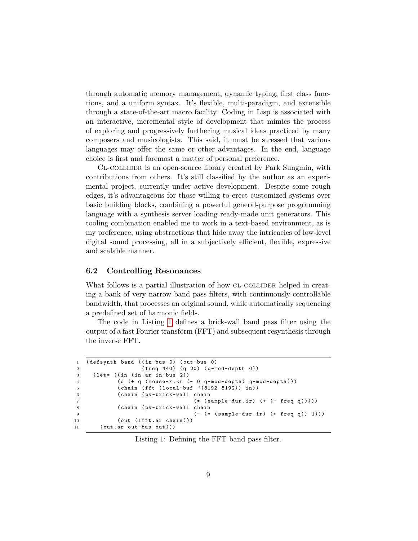through automatic memory management, dynamic typing, first class functions, and a uniform syntax. It's flexible, multi-paradigm, and extensible through a state-of-the-art macro facility. Coding in Lisp is associated with an interactive, incremental style of development that mimics the process of exploring and progressively furthering musical ideas practiced by many composers and musicologists. This said, it must be stressed that various languages may offer the same or other advantages. In the end, language choice is first and foremost a matter of personal preference.

Cl-collider is an open-source library created by Park Sungmin, with contributions from others. It's still classified by the author as an experimental project, currently under active development. Despite some rough edges, it's advantageous for those willing to erect customized systems over basic building blocks, combining a powerful general-purpose programming language with a synthesis server loading ready-made unit generators. This tooling combination enabled me to work in a text-based environment, as is my preference, using abstractions that hide away the intricacies of low-level digital sound processing, all in a subjectively efficient, flexible, expressive and scalable manner.

#### <span id="page-8-0"></span>**6.2 Controlling Resonances**

What follows is a partial illustration of how CL-COLLIDER helped in creating a bank of very narrow band pass filters, with continuously-controllable bandwidth, that processes an original sound, while automatically sequencing a predefined set of harmonic fields.

The code in Listing [1](#page-8-1) defines a brick-wall band pass filter using the output of a fast Fourier transform (FFT) and subsequent resynthesis through the inverse FFT.

```
1 ( defsynth band ((in-bus 0) ( out-bus 0)
2 ( freq 440) ( q 20) ( q-mod-depth 0))
3 ( let * (( in ( in . ar in-bus 2))
4 (q (+ q ( mouse-x . kr (- 0 q-mod-depth ) q-mod-depth )))
5 ( chain ( fft ( local-buf '(8192 8192)) in ))
6 ( chain ( pv-brick-wall chain
7 (* ( sample-dur . ir ) (+ (- freq q )))))
8 ( chain ( pv-brick-wall chain
9 (- (* (sample-dur.ir) (+ freq q)) 1)))
10 ( out ( ifft. ar chain ) ) )
11 ( out . ar out-bus out )))
```
Listing 1: Defining the FFT band pass filter.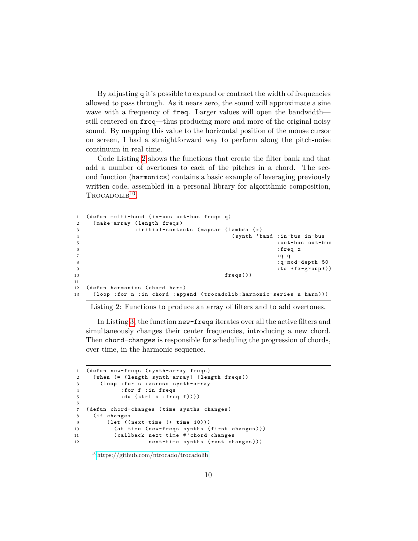By adjusting q it's possible to expand or contract the width of frequencies allowed to pass through. As it nears zero, the sound will approximate a sine wave with a frequency of freq. Larger values will open the bandwidth still centered on freq—thus producing more and more of the original noisy sound. By mapping this value to the horizontal position of the mouse cursor on screen, I had a straightforward way to perform along the pitch-noise continuum in real time.

Code Listing [2](#page-9-0) shows the functions that create the filter bank and that add a number of overtones to each of the pitches in a chord. The second function (harmonics) contains a basic example of leveraging previously written code, assembled in a personal library for algorithmic composition, TROCADOLIB<sup>[10](#page-9-1)</sup>.

```
1 ( defun multi-band ( in-bus out-bus freqs q)
2 ( make-array ( length freqs )
3 : initial-contents ( mapcar ( lambda ( x)
4 ( synth ' band : in-bus in-bus
5 : out-bus out-bus
\mathbf{f} is the contract of the contract of the contract of the contract of the contract of the contract of the contract of the contract of the contract of the contract of the contract of the contract of the contract of t
7 \t3 \t4 \t4 \t5 \t78 : q-mod-depth 50
9 \left(1-\frac{1}{2}\right) : to * f x - group *)
10 freqs ) )11
12 ( defun harmonics ( chord harm )
13 ( loop : for n : in chord : append ( trocadolib : harmonic-series n harm )))
```
Listing 2: Functions to produce an array of filters and to add overtones.

In Listing [3,](#page-9-2) the function new-freqs iterates over all the active filters and simultaneously changes their center frequencies, introducing a new chord. Then chord-changes is responsible for scheduling the progression of chords, over time, in the harmonic sequence.

```
1 ( defun new-freqs ( synth-array freqs )
2 ( when (= ( length synth-array ) ( length freqs ))
3 ( loop : for s : across synth-array
4 : for f : in freqs
5 :do ( ctrl s : freq f ))))
6
7 ( defun chord-changes ( time synths changes )
8 ( if changes
9 ( let (( next-time (+ time 10)))
10 ( at time ( new-freqs synths ( first changes )))
11 ( callback next-time #' chord-changes
12 next-time synths ( rest changes )))
```
<span id="page-9-1"></span><sup>10</sup><https://github.com/ntrocado/trocadolib>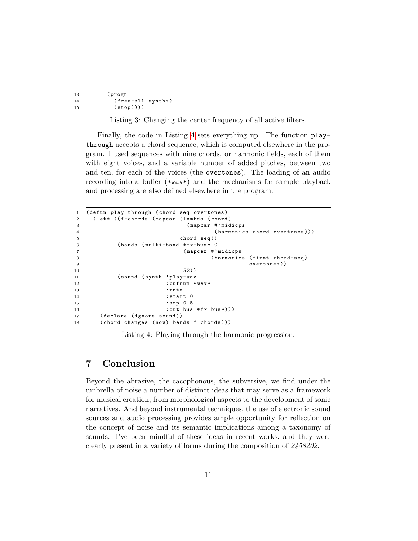| 13 | (progn            |  |
|----|-------------------|--|
| 14 | (free-all synths) |  |
| 15 | $(\text{stop})))$ |  |

Listing 3: Changing the center frequency of all active filters.

Finally, the code in Listing [4](#page-10-1) sets everything up. The function playthrough accepts a chord sequence, which is computed elsewhere in the program. I used sequences with nine chords, or harmonic fields, each of them with eight voices, and a variable number of added pitches, between two and ten, for each of the voices (the overtones). The loading of an audio recording into a buffer (\*wav\*) and the mechanisms for sample playback and processing are also defined elsewhere in the program.

```
1 ( defun play-through ( chord-seq overtones )
2 ( let * (( f-chords ( mapcar ( lambda ( chord )
3 ( mapcar #' midicps
4 (harmonics chord overtones)))
5 chord-seq ))
6 (bands (multi-band *fx-bus* 0
7 ( mapcar #' midicps
8 ( harmonics ( first chord-seq )
9 overtones ))
10 52))
11 ( sound ( synth ' play-wav
12 : bufnum *wav*
13 : rate 1
14 : start 0
15 : amp 0.5
16 : out-bus * fx-bus*)))
17 ( declare ( ignore sound ))
18 (chord-changes (now) bands f-chords)))
```
Listing 4: Playing through the harmonic progression.

# <span id="page-10-0"></span>**7 Conclusion**

Beyond the abrasive, the cacophonous, the subversive, we find under the umbrella of noise a number of distinct ideas that may serve as a framework for musical creation, from morphological aspects to the development of sonic narratives. And beyond instrumental techniques, the use of electronic sound sources and audio processing provides ample opportunity for reflection on the concept of noise and its semantic implications among a taxonomy of sounds. I've been mindful of these ideas in recent works, and they were clearly present in a variety of forms during the composition of *2458202*.